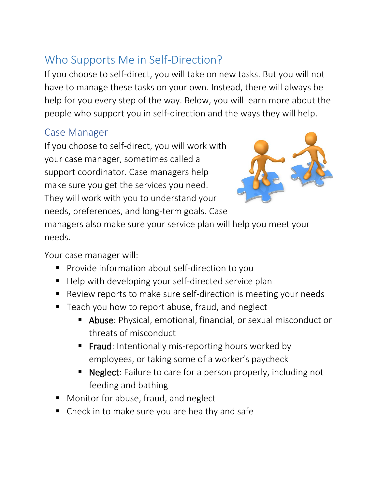# Who Supports Me in Self-Direction?

If you choose to self-direct, you will take on new tasks. But you will not have to manage these tasks on your own. Instead, there will always be help for you every step of the way. Below, you will learn more about the people who support you in self-direction and the ways they will help.

#### Case Manager

If you choose to self-direct, you will work with your case manager, sometimes called a support coordinator. Case managers help make sure you get the services you need. They will work with you to understand your needs, preferences, and long-term goals. Case



managers also make sure your service plan will help you meet your needs.

Your case manager will:

- Provide information about self-direction to you
- Help with developing your self-directed service plan
- Review reports to make sure self-direction is meeting your needs
- Teach you how to report abuse, fraud, and neglect
	- Abuse: Physical, emotional, financial, or sexual misconduct or threats of misconduct
	- **Fraud**: Intentionally mis-reporting hours worked by employees, or taking some of a worker's paycheck
	- Neglect: Failure to care for a person properly, including not feeding and bathing
- Monitor for abuse, fraud, and neglect
- Check in to make sure you are healthy and safe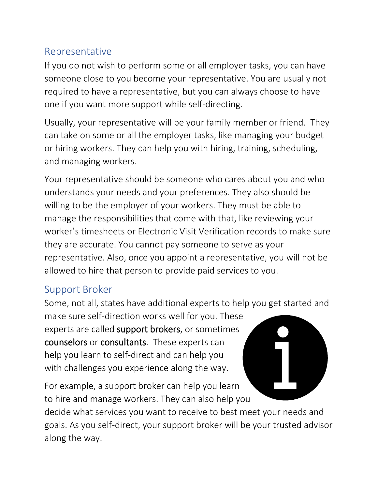### Representative

If you do not wish to perform some or all employer tasks, you can have someone close to you become your representative. You are usually not required to have a representative, but you can always choose to have one if you want more support while self-directing.

Usually, your representative will be your family member or friend. They can take on some or all the employer tasks, like managing your budget or hiring workers. They can help you with hiring, training, scheduling, and managing workers.

Your representative should be someone who cares about you and who understands your needs and your preferences. They also should be willing to be the employer of your workers. They must be able to manage the responsibilities that come with that, like reviewing your worker's timesheets or Electronic Visit Verification records to make sure they are accurate. You cannot pay someone to serve as your representative. Also, once you appoint a representative, you will not be allowed to hire that person to provide paid services to you.

### Support Broker

Some, not all, states have additional experts to help you get started and

make sure self-direction works well for you. These experts are called support brokers, or sometimes counselors or consultants. These experts can help you learn to self-direct and can help you with challenges you experience along the way.

For example, a support broker can help you learn to hire and manage workers. They can also help you



decide what services you want to receive to best meet your needs and goals. As you self-direct, your support broker will be your trusted advisor along the way.